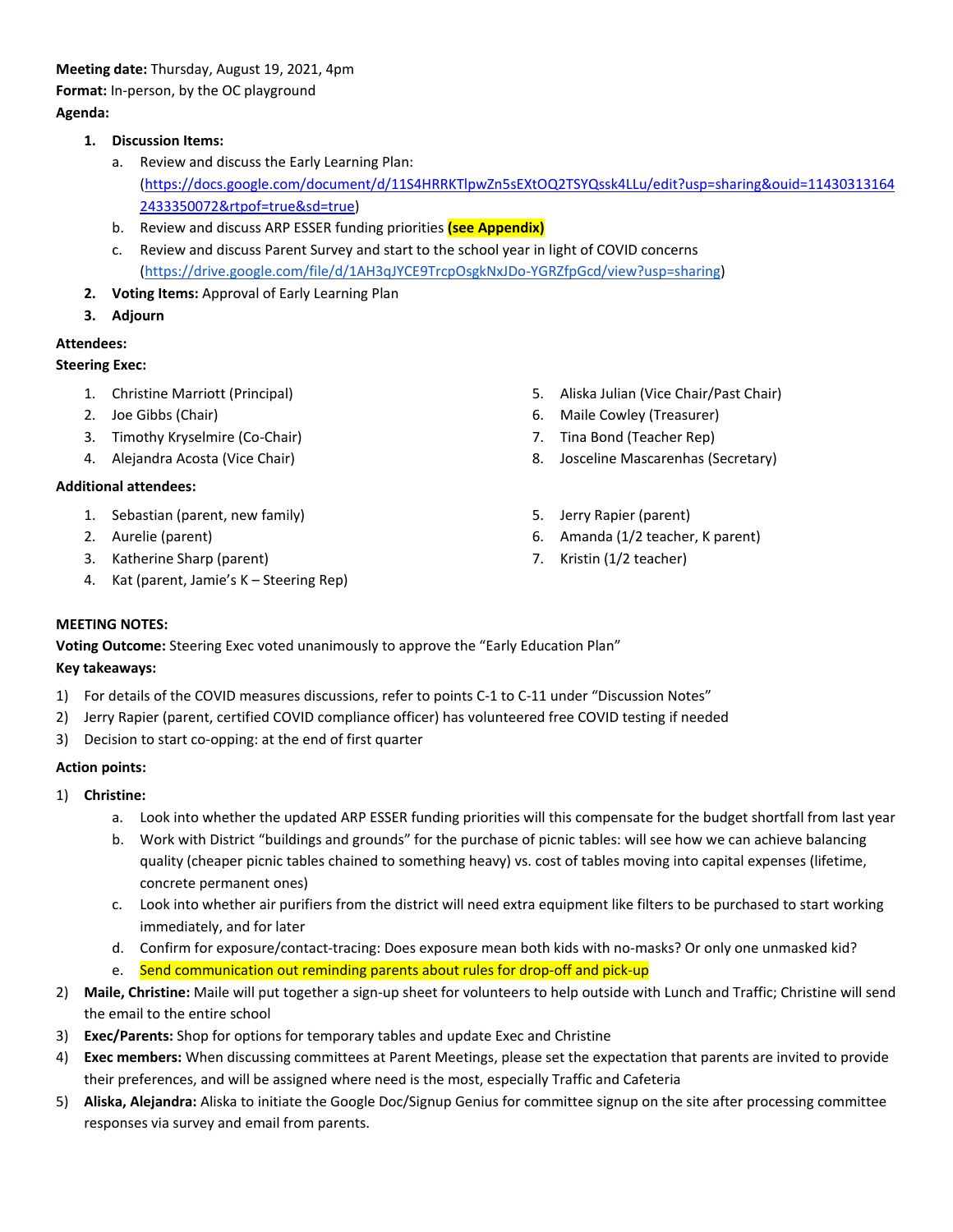#### **Meeting date:** Thursday, August 19, 2021, 4pm

**Format:** In-person, by the OC playground

# **Agenda:**

# **1. Discussion Items:**

- a. Review and discuss the Early Learning Plan: [\(https://docs.google.com/document/d/11S4HRRKTlpwZn5sEXtOQ2TSYQssk4LLu/edit?usp=sharing&ouid=11430313164](https://docs.google.com/document/d/11S4HRRKTlpwZn5sEXtOQ2TSYQssk4LLu/edit?usp=sharing&ouid=114303131642433350072&rtpof=true&sd=true) [2433350072&rtpof=true&sd=true\)](https://docs.google.com/document/d/11S4HRRKTlpwZn5sEXtOQ2TSYQssk4LLu/edit?usp=sharing&ouid=114303131642433350072&rtpof=true&sd=true)
- b. Review and discuss ARP ESSER funding priorities **(see Appendix)**
- c. Review and discuss Parent Survey and start to the school year in light of COVID concerns [\(https://drive.google.com/file/d/1AH3qJYCE9TrcpOsgkNxJDo-YGRZfpGcd/view?usp=sharing\)](https://drive.google.com/file/d/1AH3qJYCE9TrcpOsgkNxJDo-YGRZfpGcd/view?usp=sharing)
- **2. Voting Items:** Approval of Early Learning Plan
- **3. Adjourn**

# **Attendees:**

# **Steering Exec:**

- 1. Christine Marriott (Principal)
- 2. Joe Gibbs (Chair)
- 3. Timothy Kryselmire (Co-Chair)
- 4. Alejandra Acosta (Vice Chair)

# **Additional attendees:**

- 1. Sebastian (parent, new family)
- 2. Aurelie (parent)
- 3. Katherine Sharp (parent)
- 4. Kat (parent, Jamie's K Steering Rep)
- 5. Aliska Julian (Vice Chair/Past Chair)
- 6. Maile Cowley (Treasurer)
- 7. Tina Bond (Teacher Rep)
- 8. Josceline Mascarenhas (Secretary)
- 5. Jerry Rapier (parent)
- 6. Amanda (1/2 teacher, K parent)
- 7. Kristin (1/2 teacher)

# **MEETING NOTES:**

**Voting Outcome:** Steering Exec voted unanimously to approve the "Early Education Plan"

#### **Key takeaways:**

- 1) For details of the COVID measures discussions, refer to points C-1 to C-11 under "Discussion Notes"
- 2) Jerry Rapier (parent, certified COVID compliance officer) has volunteered free COVID testing if needed
- 3) Decision to start co-opping: at the end of first quarter

# **Action points:**

- 1) **Christine:**
	- a. Look into whether the updated ARP ESSER funding priorities will this compensate for the budget shortfall from last year
	- b. Work with District "buildings and grounds" for the purchase of picnic tables: will see how we can achieve balancing quality (cheaper picnic tables chained to something heavy) vs. cost of tables moving into capital expenses (lifetime, concrete permanent ones)
	- c. Look into whether air purifiers from the district will need extra equipment like filters to be purchased to start working immediately, and for later
	- d. Confirm for exposure/contact-tracing: Does exposure mean both kids with no-masks? Or only one unmasked kid?
	- e. Send communication out reminding parents about rules for drop-off and pick-up
- 2) **Maile, Christine:** Maile will put together a sign-up sheet for volunteers to help outside with Lunch and Traffic; Christine will send the email to the entire school
- 3) **Exec/Parents:** Shop for options for temporary tables and update Exec and Christine
- 4) **Exec members:** When discussing committees at Parent Meetings, please set the expectation that parents are invited to provide their preferences, and will be assigned where need is the most, especially Traffic and Cafeteria
- 5) **Aliska, Alejandra:** Aliska to initiate the Google Doc/Signup Genius for committee signup on the site after processing committee responses via survey and email from parents.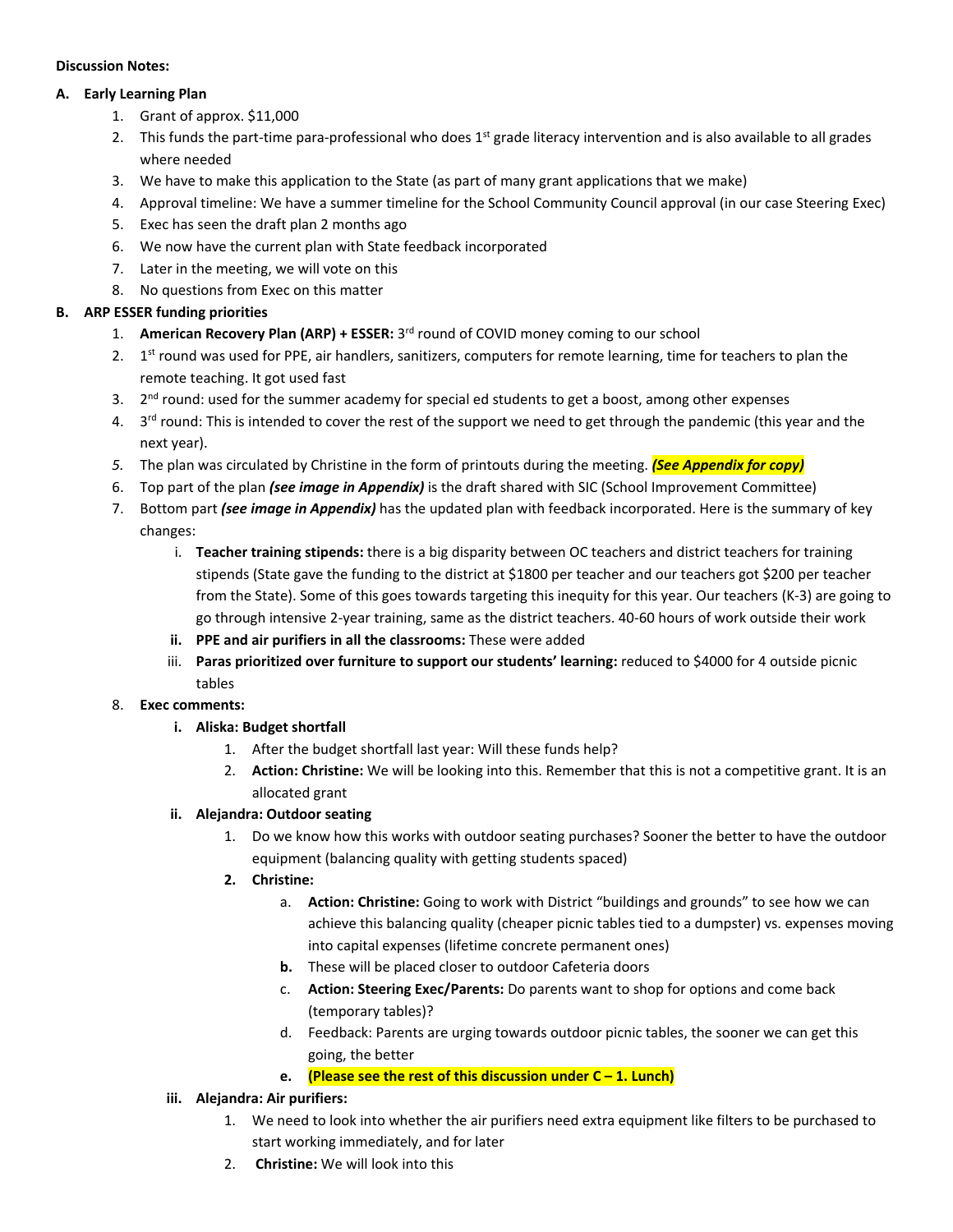#### **Discussion Notes:**

#### **A. Early Learning Plan**

- 1. Grant of approx. \$11,000
- 2. This funds the part-time para-professional who does 1<sup>st</sup> grade literacy intervention and is also available to all grades where needed
- 3. We have to make this application to the State (as part of many grant applications that we make)
- 4. Approval timeline: We have a summer timeline for the School Community Council approval (in our case Steering Exec)
- 5. Exec has seen the draft plan 2 months ago
- 6. We now have the current plan with State feedback incorporated
- 7. Later in the meeting, we will vote on this
- 8. No questions from Exec on this matter

# **B. ARP ESSER funding priorities**

- 1. American Recovery Plan (ARP) + ESSER: 3<sup>rd</sup> round of COVID money coming to our school
- 2. 1<sup>st</sup> round was used for PPE, air handlers, sanitizers, computers for remote learning, time for teachers to plan the remote teaching. It got used fast
- 3. 2<sup>nd</sup> round: used for the summer academy for special ed students to get a boost, among other expenses
- 4. 3<sup>rd</sup> round: This is intended to cover the rest of the support we need to get through the pandemic (this year and the next year).
- *5.* The plan was circulated by Christine in the form of printouts during the meeting. *(See Appendix for copy)*
- 6. Top part of the plan *(see image in Appendix)* is the draft shared with SIC (School Improvement Committee)
- 7. Bottom part *(see image in Appendix)* has the updated plan with feedback incorporated. Here is the summary of key changes:
	- i. **Teacher training stipends:** there is a big disparity between OC teachers and district teachers for training stipends (State gave the funding to the district at \$1800 per teacher and our teachers got \$200 per teacher from the State). Some of this goes towards targeting this inequity for this year. Our teachers (K-3) are going to go through intensive 2-year training, same as the district teachers. 40-60 hours of work outside their work
	- **ii. PPE and air purifiers in all the classrooms:** These were added
	- iii. **Paras prioritized over furniture to support our students' learning:** reduced to \$4000 for 4 outside picnic tables

#### 8. **Exec comments:**

- **i. Aliska: Budget shortfall**
	- 1. After the budget shortfall last year: Will these funds help?
	- 2. **Action: Christine:** We will be looking into this. Remember that this is not a competitive grant. It is an allocated grant

#### **ii. Alejandra: Outdoor seating**

- 1. Do we know how this works with outdoor seating purchases? Sooner the better to have the outdoor equipment (balancing quality with getting students spaced)
- **2. Christine:**
	- a. **Action: Christine:** Going to work with District "buildings and grounds" to see how we can achieve this balancing quality (cheaper picnic tables tied to a dumpster) vs. expenses moving into capital expenses (lifetime concrete permanent ones)
	- **b.** These will be placed closer to outdoor Cafeteria doors
	- c. **Action: Steering Exec/Parents:** Do parents want to shop for options and come back (temporary tables)?
	- d. Feedback: Parents are urging towards outdoor picnic tables, the sooner we can get this going, the better
	- **e. (Please see the rest of this discussion under C – 1. Lunch)**

#### **iii. Alejandra: Air purifiers:**

- 1. We need to look into whether the air purifiers need extra equipment like filters to be purchased to start working immediately, and for later
- 2. **Christine:** We will look into this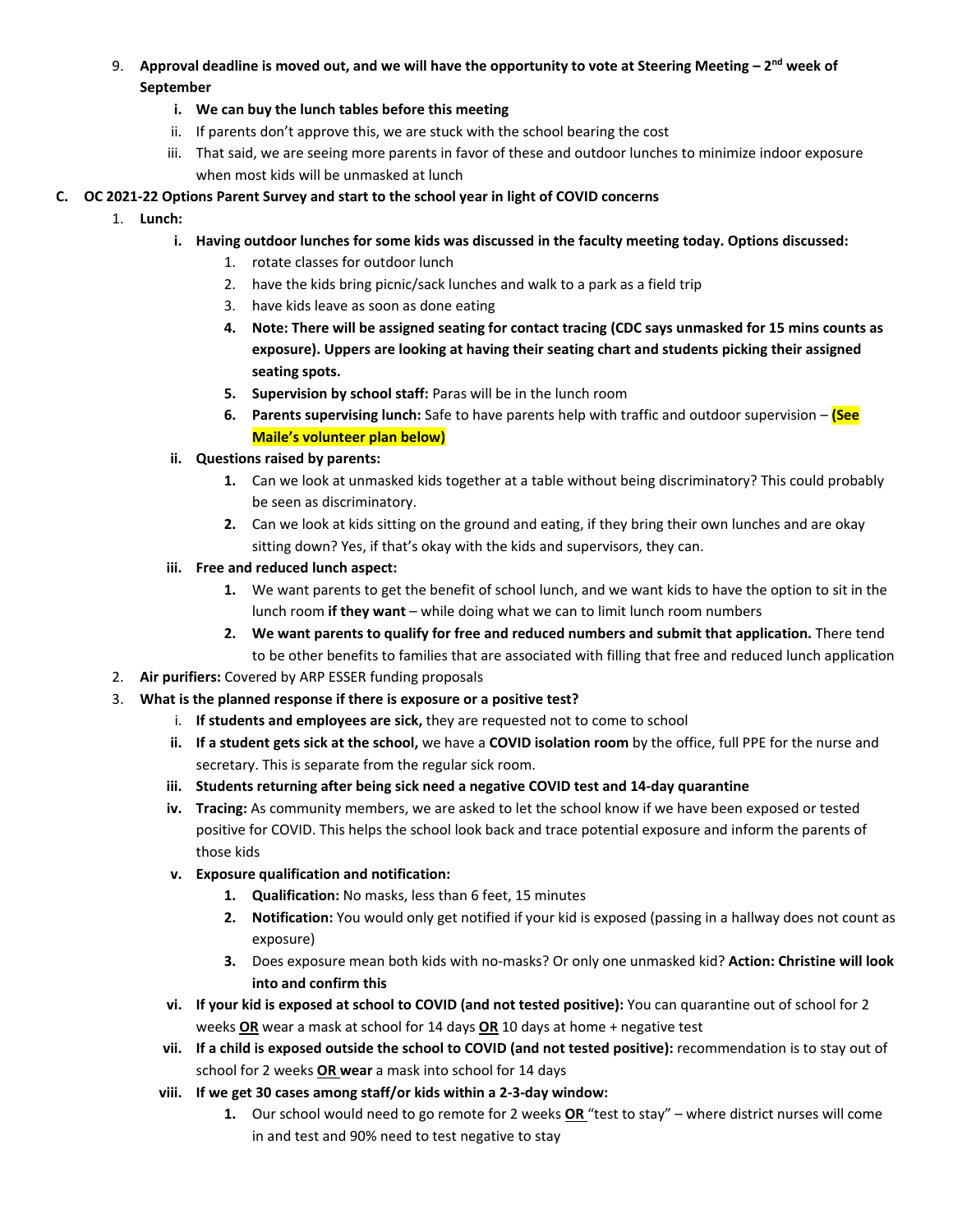9. **Approval deadline is moved out, and we will have the opportunity to vote at Steering Meeting – 2 nd week of September**

# **i. We can buy the lunch tables before this meeting**

- ii. If parents don't approve this, we are stuck with the school bearing the cost
- iii. That said, we are seeing more parents in favor of these and outdoor lunches to minimize indoor exposure when most kids will be unmasked at lunch

# **C. OC 2021-22 Options Parent Survey and start to the school year in light of COVID concerns**

- 1. **Lunch:**
	- **i. Having outdoor lunches for some kids was discussed in the faculty meeting today. Options discussed:**
		- 1. rotate classes for outdoor lunch
		- 2. have the kids bring picnic/sack lunches and walk to a park as a field trip
		- 3. have kids leave as soon as done eating
		- **4. Note: There will be assigned seating for contact tracing (CDC says unmasked for 15 mins counts as exposure). Uppers are looking at having their seating chart and students picking their assigned seating spots.**
		- **5. Supervision by school staff:** Paras will be in the lunch room
		- **6. Parents supervising lunch:** Safe to have parents help with traffic and outdoor supervision **(See Maile's volunteer plan below)**
	- **ii. Questions raised by parents:**
		- **1.** Can we look at unmasked kids together at a table without being discriminatory? This could probably be seen as discriminatory.
		- **2.** Can we look at kids sitting on the ground and eating, if they bring their own lunches and are okay sitting down? Yes, if that's okay with the kids and supervisors, they can.
	- **iii. Free and reduced lunch aspect:**
		- **1.** We want parents to get the benefit of school lunch, and we want kids to have the option to sit in the lunch room **if they want** – while doing what we can to limit lunch room numbers
		- **2. We want parents to qualify for free and reduced numbers and submit that application.** There tend to be other benefits to families that are associated with filling that free and reduced lunch application
- 2. **Air purifiers:** Covered by ARP ESSER funding proposals
- 3. **What is the planned response if there is exposure or a positive test?**
	- i. **If students and employees are sick,** they are requested not to come to school
	- **ii. If a student gets sick at the school,** we have a **COVID isolation room** by the office, full PPE for the nurse and secretary. This is separate from the regular sick room.
	- **iii. Students returning after being sick need a negative COVID test and 14-day quarantine**
	- **iv. Tracing:** As community members, we are asked to let the school know if we have been exposed or tested positive for COVID. This helps the school look back and trace potential exposure and inform the parents of those kids
	- **v. Exposure qualification and notification:** 
		- **1. Qualification:** No masks, less than 6 feet, 15 minutes
		- **2. Notification:** You would only get notified if your kid is exposed (passing in a hallway does not count as exposure)
		- **3.** Does exposure mean both kids with no-masks? Or only one unmasked kid? **Action: Christine will look into and confirm this**
	- **vi. If your kid is exposed at school to COVID (and not tested positive):** You can quarantine out of school for 2 weeks **OR** wear a mask at school for 14 days **OR** 10 days at home + negative test
	- **vii. If a child is exposed outside the school to COVID (and not tested positive):** recommendation is to stay out of school for 2 weeks **OR wear** a mask into school for 14 days
	- **viii. If we get 30 cases among staff/or kids within a 2-3-day window:**
		- **1.** Our school would need to go remote for 2 weeks **OR** "test to stay" where district nurses will come in and test and 90% need to test negative to stay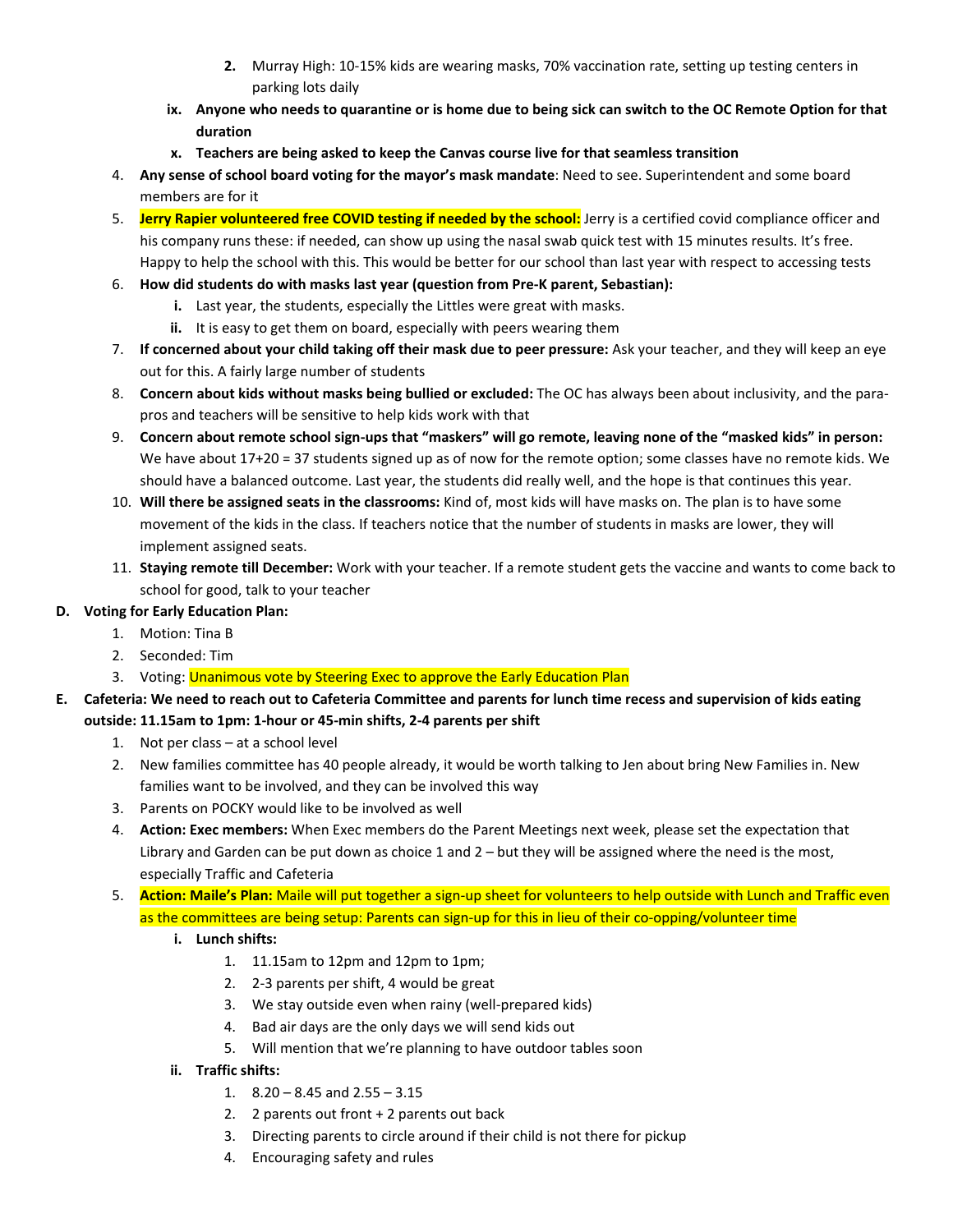- **2.** Murray High: 10-15% kids are wearing masks, 70% vaccination rate, setting up testing centers in parking lots daily
- **ix. Anyone who needs to quarantine or is home due to being sick can switch to the OC Remote Option for that duration**
- **x. Teachers are being asked to keep the Canvas course live for that seamless transition**
- 4. **Any sense of school board voting for the mayor's mask mandate**: Need to see. Superintendent and some board members are for it
- 5. **Jerry Rapier volunteered free COVID testing if needed by the school:** Jerry is a certified covid compliance officer and his company runs these: if needed, can show up using the nasal swab quick test with 15 minutes results. It's free. Happy to help the school with this. This would be better for our school than last year with respect to accessing tests
- 6. **How did students do with masks last year (question from Pre-K parent, Sebastian):**
	- **i.** Last year, the students, especially the Littles were great with masks.
	- **ii.** It is easy to get them on board, especially with peers wearing them
- 7. **If concerned about your child taking off their mask due to peer pressure:** Ask your teacher, and they will keep an eye out for this. A fairly large number of students
- 8. **Concern about kids without masks being bullied or excluded:** The OC has always been about inclusivity, and the parapros and teachers will be sensitive to help kids work with that
- 9. **Concern about remote school sign-ups that "maskers" will go remote, leaving none of the "masked kids" in person:** We have about 17+20 = 37 students signed up as of now for the remote option; some classes have no remote kids. We should have a balanced outcome. Last year, the students did really well, and the hope is that continues this year.
- 10. **Will there be assigned seats in the classrooms:** Kind of, most kids will have masks on. The plan is to have some movement of the kids in the class. If teachers notice that the number of students in masks are lower, they will implement assigned seats.
- 11. **Staying remote till December:** Work with your teacher. If a remote student gets the vaccine and wants to come back to school for good, talk to your teacher

# **D. Voting for Early Education Plan:**

- 1. Motion: Tina B
- 2. Seconded: Tim
- 3. Voting: Unanimous vote by Steering Exec to approve the Early Education Plan
- **E. Cafeteria: We need to reach out to Cafeteria Committee and parents for lunch time recess and supervision of kids eating outside: 11.15am to 1pm: 1-hour or 45-min shifts, 2-4 parents per shift**
	- 1. Not per class at a school level
	- 2. New families committee has 40 people already, it would be worth talking to Jen about bring New Families in. New families want to be involved, and they can be involved this way
	- 3. Parents on POCKY would like to be involved as well
	- 4. **Action: Exec members:** When Exec members do the Parent Meetings next week, please set the expectation that Library and Garden can be put down as choice 1 and 2 – but they will be assigned where the need is the most, especially Traffic and Cafeteria
	- 5. **Action: Maile's Plan:** Maile will put together a sign-up sheet for volunteers to help outside with Lunch and Traffic even as the committees are being setup: Parents can sign-up for this in lieu of their co-opping/volunteer time
		- **i. Lunch shifts:** 
			- 1. 11.15am to 12pm and 12pm to 1pm;
			- 2. 2-3 parents per shift, 4 would be great
			- 3. We stay outside even when rainy (well-prepared kids)
			- 4. Bad air days are the only days we will send kids out
			- 5. Will mention that we're planning to have outdoor tables soon
		- **ii. Traffic shifts:** 
			- 1.  $8.20 8.45$  and  $2.55 3.15$
			- 2. 2 parents out front + 2 parents out back
			- 3. Directing parents to circle around if their child is not there for pickup
			- 4. Encouraging safety and rules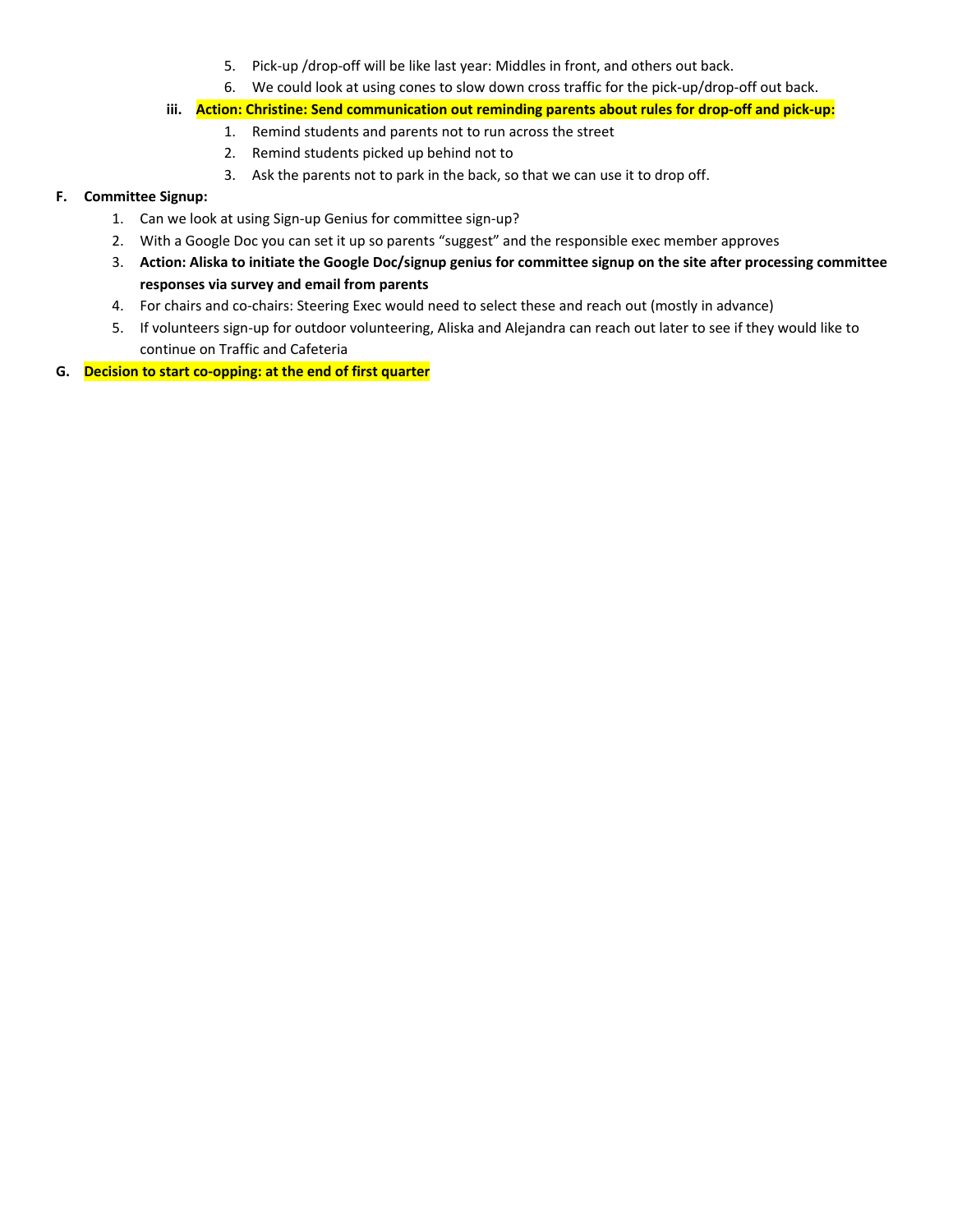- 5. Pick-up /drop-off will be like last year: Middles in front, and others out back.
- 6. We could look at using cones to slow down cross traffic for the pick-up/drop-off out back.
- **iii. Action: Christine: Send communication out reminding parents about rules for drop-off and pick-up:**
	- 1. Remind students and parents not to run across the street
	- 2. Remind students picked up behind not to
	- 3. Ask the parents not to park in the back, so that we can use it to drop off.

# **F. Committee Signup:**

- 1. Can we look at using Sign-up Genius for committee sign-up?
- 2. With a Google Doc you can set it up so parents "suggest" and the responsible exec member approves
- 3. **Action: Aliska to initiate the Google Doc/signup genius for committee signup on the site after processing committee responses via survey and email from parents**
- 4. For chairs and co-chairs: Steering Exec would need to select these and reach out (mostly in advance)
- 5. If volunteers sign-up for outdoor volunteering, Aliska and Alejandra can reach out later to see if they would like to continue on Traffic and Cafeteria
- **G. Decision to start co-opping: at the end of first quarter**